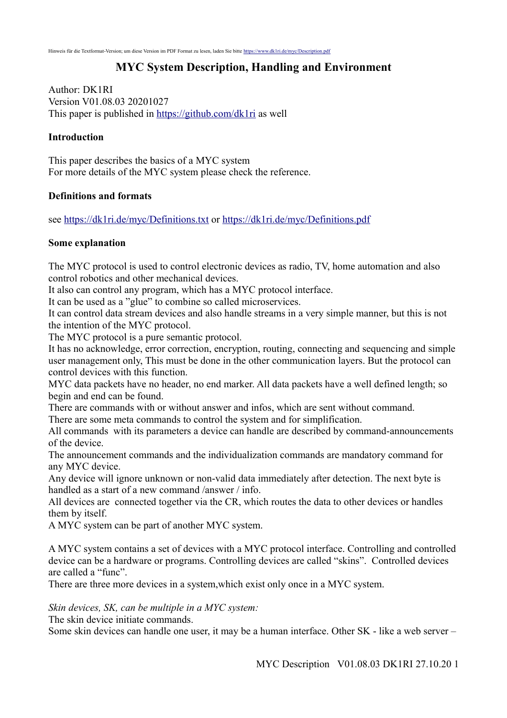# **MYC System Description, Handling and Environment**

Author: DK1RI Version V01.08.03 20201027 This paper is published in<https://github.com/dk1ri> as well

#### **Introduction**

This paper describes the basics of a MYC system For more details of the MYC system please check the reference.

#### **Definitions and formats**

see<https://dk1ri.de/myc/Definitions.txt>or<https://dk1ri.de/myc/Definitions.pdf>

#### **Some explanation**

The MYC protocol is used to control electronic devices as radio, TV, home automation and also control robotics and other mechanical devices.

It also can control any program, which has a MYC protocol interface.

It can be used as a "glue" to combine so called microservices.

It can control data stream devices and also handle streams in a very simple manner, but this is not the intention of the MYC protocol.

The MYC protocol is a pure semantic protocol.

It has no acknowledge, error correction, encryption, routing, connecting and sequencing and simple user management only, This must be done in the other communication layers. But the protocol can control devices with this function.

MYC data packets have no header, no end marker. All data packets have a well defined length; so begin and end can be found.

There are commands with or without answer and infos, which are sent without command.

There are some meta commands to control the system and for simplification.

All commands with its parameters a device can handle are described by command-announcements of the device.

The announcement commands and the individualization commands are mandatory command for any MYC device.

Any device will ignore unknown or non-valid data immediately after detection. The next byte is handled as a start of a new command /answer / info.

All devices are connected together via the CR, which routes the data to other devices or handles them by itself.

A MYC system can be part of another MYC system.

A MYC system contains a set of devices with a MYC protocol interface. Controlling and controlled device can be a hardware or programs. Controlling devices are called "skins". Controlled devices are called a "func".

There are three more devices in a system,which exist only once in a MYC system.

*Skin devices, SK, can be multiple in a MYC system:*

The skin device initiate commands.

Some skin devices can handle one user, it may be a human interface. Other SK - like a web server –

MYC Description V01.08.03 DK1RI 27.10.20 1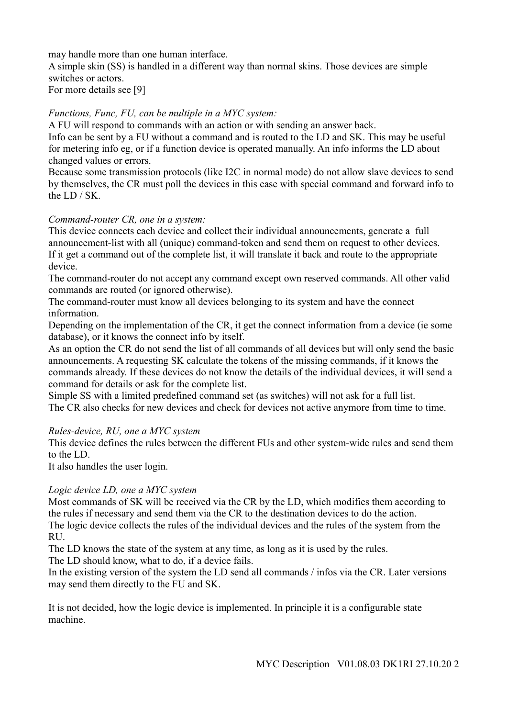may handle more than one human interface.

A simple skin (SS) is handled in a different way than normal skins. Those devices are simple switches or actors.

For more details see [9]

### *Functions, Func, FU, can be multiple in a MYC system:*

A FU will respond to commands with an action or with sending an answer back. Info can be sent by a FU without a command and is routed to the LD and SK. This may be useful for metering info eg, or if a function device is operated manually. An info informs the LD about changed values or errors.

Because some transmission protocols (like I2C in normal mode) do not allow slave devices to send by themselves, the CR must poll the devices in this case with special command and forward info to the LD / SK.

### *Command-router CR, one in a system:*

This device connects each device and collect their individual announcements, generate a full announcement-list with all (unique) command-token and send them on request to other devices. If it get a command out of the complete list, it will translate it back and route to the appropriate device.

The command-router do not accept any command except own reserved commands. All other valid commands are routed (or ignored otherwise).

The command-router must know all devices belonging to its system and have the connect information.

Depending on the implementation of the CR, it get the connect information from a device (ie some database), or it knows the connect info by itself.

As an option the CR do not send the list of all commands of all devices but will only send the basic announcements. A requesting SK calculate the tokens of the missing commands, if it knows the commands already. If these devices do not know the details of the individual devices, it will send a command for details or ask for the complete list.

Simple SS with a limited predefined command set (as switches) will not ask for a full list. The CR also checks for new devices and check for devices not active anymore from time to time.

### *Rules-device, RU, one a MYC system*

This device defines the rules between the different FUs and other system-wide rules and send them to the LD.

It also handles the user login.

## *Logic device LD, one a MYC system*

Most commands of SK will be received via the CR by the LD, which modifies them according to the rules if necessary and send them via the CR to the destination devices to do the action. The logic device collects the rules of the individual devices and the rules of the system from the RU.

The LD knows the state of the system at any time, as long as it is used by the rules.

The LD should know, what to do, if a device fails.

In the existing version of the system the LD send all commands / infos via the CR. Later versions may send them directly to the FU and SK.

It is not decided, how the logic device is implemented. In principle it is a configurable state machine.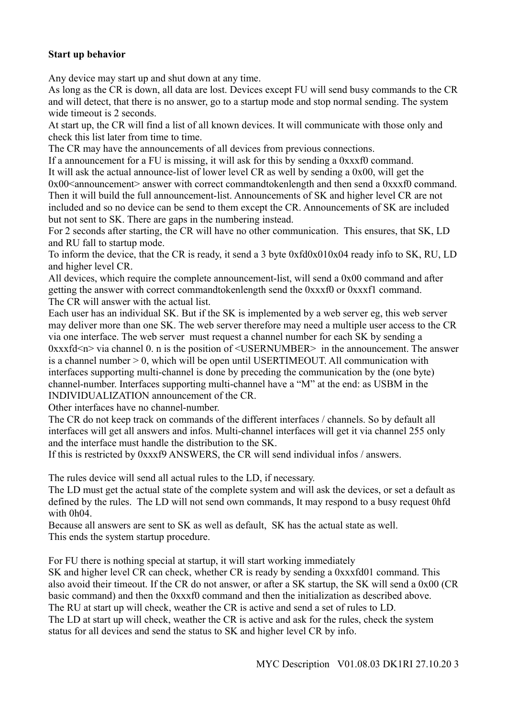#### **Start up behavior**

Any device may start up and shut down at any time.

As long as the CR is down, all data are lost. Devices except FU will send busy commands to the CR and will detect, that there is no answer, go to a startup mode and stop normal sending. The system wide timeout is 2 seconds.

At start up, the CR will find a list of all known devices. It will communicate with those only and check this list later from time to time.

The CR may have the announcements of all devices from previous connections.

If a announcement for a FU is missing, it will ask for this by sending a 0xxxf0 command. It will ask the actual announce-list of lower level CR as well by sending a 0x00, will get the  $0x00$  announcement answer with correct command to kend a  $0xxx0$  command. Then it will build the full announcement-list. Announcements of SK and higher level CR are not included and so no device can be send to them except the CR. Announcements of SK are included but not sent to SK. There are gaps in the numbering instead.

For 2 seconds after starting, the CR will have no other communication. This ensures, that SK, LD and RU fall to startup mode.

To inform the device, that the CR is ready, it send a 3 byte 0xfd0x010x04 ready info to SK, RU, LD and higher level CR.

All devices, which require the complete announcement-list, will send a 0x00 command and after getting the answer with correct commandtokenlength send the 0xxxf0 or 0xxxf1 command. The CR will answer with the actual list.

Each user has an individual SK. But if the SK is implemented by a web server eg, this web server may deliver more than one SK. The web server therefore may need a multiple user access to the CR via one interface. The web server must request a channel number for each SK by sending a 0xxxfd<n> via channel 0. n is the position of <USERNUMBER> in the announcement. The answer is a channel number > 0, which will be open until USERTIMEOUT. All communication with interfaces supporting multi-channel is done by preceding the communication by the (one byte) channel-number. Interfaces supporting multi-channel have a "M" at the end: as USBM in the INDIVIDUALIZATION announcement of the CR.

Other interfaces have no channel-number.

The CR do not keep track on commands of the different interfaces / channels. So by default all interfaces will get all answers and infos. Multi-channel interfaces will get it via channel 255 only and the interface must handle the distribution to the SK.

If this is restricted by 0xxxf9 ANSWERS, the CR will send individual infos / answers.

The rules device will send all actual rules to the LD, if necessary.

The LD must get the actual state of the complete system and will ask the devices, or set a default as defined by the rules. The LD will not send own commands, It may respond to a busy request 0hfd with 0h04.

Because all answers are sent to SK as well as default, SK has the actual state as well. This ends the system startup procedure.

For FU there is nothing special at startup, it will start working immediately

SK and higher level CR can check, whether CR is ready by sending a 0xxxfd01 command. This also avoid their timeout. If the CR do not answer, or after a SK startup, the SK will send a 0x00 (CR basic command) and then the 0xxxf0 command and then the initialization as described above. The RU at start up will check, weather the CR is active and send a set of rules to LD.

The LD at start up will check, weather the CR is active and ask for the rules, check the system status for all devices and send the status to SK and higher level CR by info.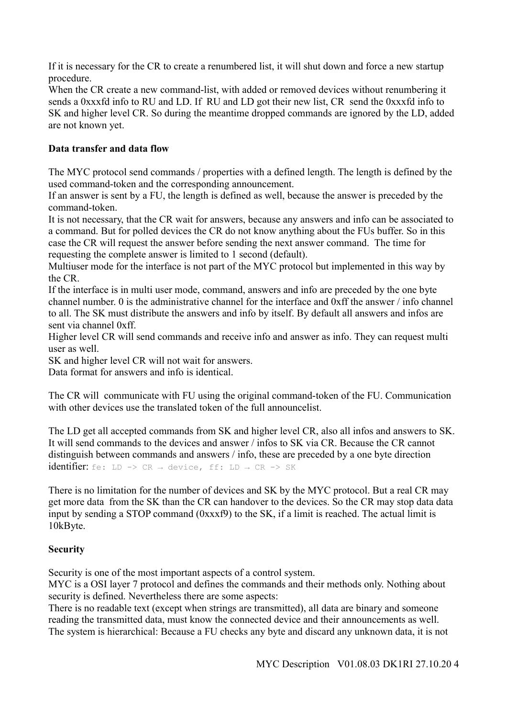If it is necessary for the CR to create a renumbered list, it will shut down and force a new startup procedure.

When the CR create a new command-list, with added or removed devices without renumbering it sends a 0xxxfd info to RU and LD. If RU and LD got their new list, CR send the 0xxxfd info to SK and higher level CR. So during the meantime dropped commands are ignored by the LD, added are not known yet.

## **Data transfer and data flow**

The MYC protocol send commands / properties with a defined length. The length is defined by the used command-token and the corresponding announcement.

If an answer is sent by a FU, the length is defined as well, because the answer is preceded by the command-token.

It is not necessary, that the CR wait for answers, because any answers and info can be associated to a command. But for polled devices the CR do not know anything about the FUs buffer. So in this case the CR will request the answer before sending the next answer command. The time for requesting the complete answer is limited to 1 second (default).

Multiuser mode for the interface is not part of the MYC protocol but implemented in this way by the CR.

If the interface is in multi user mode, command, answers and info are preceded by the one byte channel number. 0 is the administrative channel for the interface and 0xff the answer / info channel to all. The SK must distribute the answers and info by itself. By default all answers and infos are sent via channel 0xff.

Higher level CR will send commands and receive info and answer as info. They can request multi user as well.

SK and higher level CR will not wait for answers.

Data format for answers and info is identical.

The CR will communicate with FU using the original command-token of the FU. Communication with other devices use the translated token of the full announcelist.

The LD get all accepted commands from SK and higher level CR, also all infos and answers to SK. It will send commands to the devices and answer / infos to SK via CR. Because the CR cannot distinguish between commands and answers / info, these are preceded by a one byte direction identifier: fe: LD -> CR  $\rightarrow$  device, ff: LD  $\rightarrow$  CR -> SK

There is no limitation for the number of devices and SK by the MYC protocol. But a real CR may get more data from the SK than the CR can handover to the devices. So the CR may stop data data input by sending a STOP command (0xxxf9) to the SK, if a limit is reached. The actual limit is 10kByte.

## **Security**

Security is one of the most important aspects of a control system.

MYC is a OSI layer 7 protocol and defines the commands and their methods only. Nothing about security is defined. Nevertheless there are some aspects:

There is no readable text (except when strings are transmitted), all data are binary and someone reading the transmitted data, must know the connected device and their announcements as well. The system is hierarchical: Because a FU checks any byte and discard any unknown data, it is not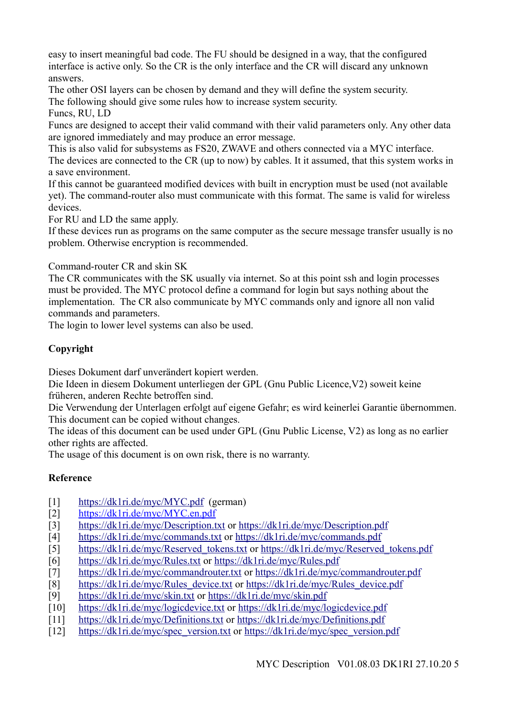easy to insert meaningful bad code. The FU should be designed in a way, that the configured interface is active only. So the CR is the only interface and the CR will discard any unknown answers.

The other OSI layers can be chosen by demand and they will define the system security.

The following should give some rules how to increase system security.

Funcs, RU, LD

Funcs are designed to accept their valid command with their valid parameters only. Any other data are ignored immediately and may produce an error message.

This is also valid for subsystems as FS20, ZWAVE and others connected via a MYC interface. The devices are connected to the CR (up to now) by cables. It it assumed, that this system works in a save environment.

If this cannot be guaranteed modified devices with built in encryption must be used (not available yet). The command-router also must communicate with this format. The same is valid for wireless devices.

For RU and LD the same apply.

If these devices run as programs on the same computer as the secure message transfer usually is no problem. Otherwise encryption is recommended.

Command-router CR and skin SK

The CR communicates with the SK usually via internet. So at this point ssh and login processes must be provided. The MYC protocol define a command for login but says nothing about the implementation. The CR also communicate by MYC commands only and ignore all non valid commands and parameters.

The login to lower level systems can also be used.

# **Copyright**

Dieses Dokument darf unverändert kopiert werden.

Die Ideen in diesem Dokument unterliegen der GPL (Gnu Public Licence,V2) soweit keine früheren, anderen Rechte betroffen sind.

Die Verwendung der Unterlagen erfolgt auf eigene Gefahr; es wird keinerlei Garantie übernommen. This document can be copied without changes.

The ideas of this document can be used under GPL (Gnu Public License, V2) as long as no earlier other rights are affected.

The usage of this document is on own risk, there is no warranty.

## **Reference**

- [1] <https://dk1ri.de/myc/MYC.pdf>(german)
- [2] [https://dk1ri.de/myc/MYC.en.pdf](https://dk1ri.de/myc/MYC_en.pdf)
- [3] <https://dk1ri.de/myc/Description.txt>or<https://dk1ri.de/myc/Description.pdf>
- [4] <https://dk1ri.de/myc/commands.txt>or<https://dk1ri.de/myc/commands.pdf>
- [5] [https://dk1ri.de/myc/Reserved\\_tokens.txt](https://dk1ri.de/myc/Reserved_tokens.txt) or [https://dk1ri.de/myc/Reserved\\_tokens.pdf](https://dk1ri.de/myc/Reserved_tokens.pdf)
- [6] <https://dk1ri.de/myc/Rules.txt>or<https://dk1ri.de/myc/Rules.pdf>
- [7] <https://dk1ri.de/myc/commandrouter.txt>or<https://dk1ri.de/myc/commandrouter.pdf>
- [8] [https://dk1ri.de/myc/Rules\\_device.txt](https://dk1ri.de/myc/Rules_device.txt) or [https://dk1ri.de/myc/Rules\\_device.pdf](https://dk1ri.de/myc/Rules_device.pdf)
- [9] <https://dk1ri.de/myc/skin.txt>or<https://dk1ri.de/myc/skin.pdf>
- [10] <https://dk1ri.de/myc/logicdevice.txt>or<https://dk1ri.de/myc/logicdevice.pdf>
- [11] <https://dk1ri.de/myc/Definitions.txt>or<https://dk1ri.de/myc/Definitions.pdf>
- [12] [https://dk1ri.de/myc/spec\\_version.txt](https://dk1ri.de/myc/spec_version.txt) or [https://dk1ri.de/myc/spec\\_version.pdf](https://dk1ri.de/myc/spec_version.pdf)